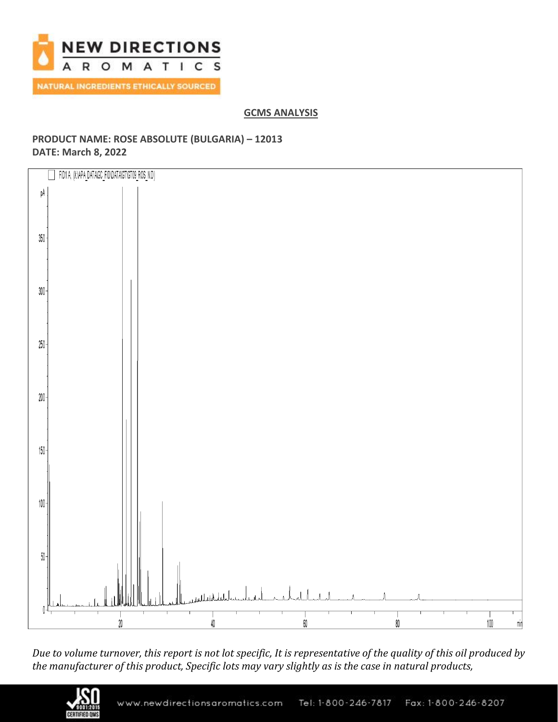

# **GCMS ANALYSIS**

# **PRODUCT NAME: ROSE ABSOLUTE (BULGARIA) – 12013 DATE: March 8, 2022**



*Due to volume turnover, this report is not lot specific, It is representative of the quality of this oil produced by the manufacturer of this product, Specific lots may vary slightly as is the case in natural products,*

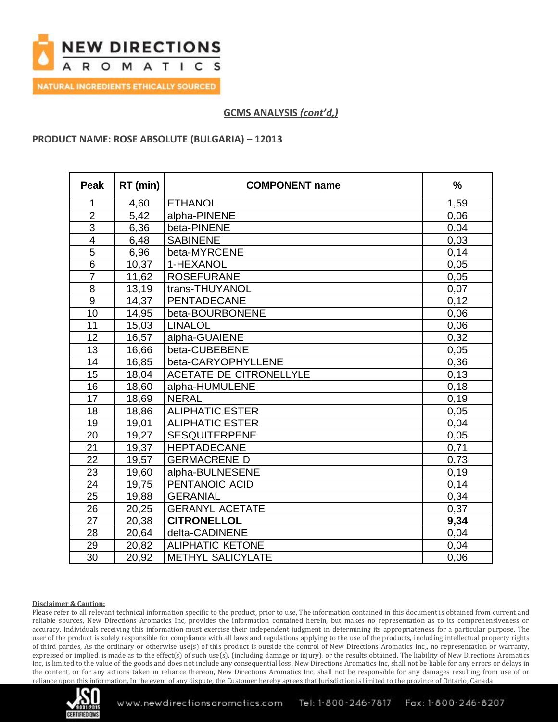

### **PRODUCT NAME: ROSE ABSOLUTE (BULGARIA) – 12013**

| <b>Peak</b>             | RT (min) | <b>COMPONENT name</b>          | $\frac{1}{2}$ |
|-------------------------|----------|--------------------------------|---------------|
| 1                       | 4,60     | <b>ETHANOL</b>                 | 1,59          |
| $\overline{2}$          | 5,42     | alpha-PINENE                   | 0,06          |
| $\overline{3}$          | 6,36     | beta-PINENE                    | 0,04          |
| $\overline{\mathbf{4}}$ | 6,48     | <b>SABINENE</b>                | 0,03          |
| $\overline{5}$          | 6,96     | beta-MYRCENE                   | 0,14          |
| $\overline{6}$          | 10,37    | 1-HEXANOL                      | 0,05          |
| $\overline{7}$          | 11,62    | <b>ROSEFURANE</b>              | 0,05          |
| $\overline{8}$          | 13,19    | trans-THUYANOL                 | 0,07          |
| 9                       | 14,37    | PENTADECANE                    | 0,12          |
| 10                      | 14,95    | beta-BOURBONENE                | 0,06          |
| 11                      | 15,03    | <b>LINALOL</b>                 | 0,06          |
| 12                      | 16,57    | alpha-GUAIENE                  | 0,32          |
| 13                      | 16,66    | beta-CUBEBENE                  | 0,05          |
| 14                      | 16,85    | beta-CARYOPHYLLENE             | 0,36          |
| 15                      | 18,04    | <b>ACETATE DE CITRONELLYLE</b> | 0,13          |
| 16                      | 18,60    | alpha-HUMULENE                 | 0,18          |
| 17                      | 18,69    | <b>NERAL</b>                   | 0,19          |
| 18                      | 18,86    | <b>ALIPHATIC ESTER</b>         | 0,05          |
| 19                      | 19,01    | <b>ALIPHATIC ESTER</b>         | 0,04          |
| 20                      | 19,27    | <b>SESQUITERPENE</b>           | 0,05          |
| 21                      | 19,37    | <b>HEPTADECANE</b>             | 0,71          |
| 22                      | 19,57    | <b>GERMACRENE D</b>            | 0,73          |
| 23                      | 19,60    | alpha-BULNESENE                | 0,19          |
| 24                      | 19,75    | PENTANOIC ACID                 | 0,14          |
| 25                      | 19,88    | <b>GERANIAL</b>                | 0,34          |
| 26                      | 20,25    | <b>GERANYL ACETATE</b>         | 0,37          |
| 27                      | 20,38    | <b>CITRONELLOL</b>             | 9,34          |
| 28                      | 20,64    | delta-CADINENE                 | 0,04          |
| 29                      | 20,82    | <b>ALIPHATIC KETONE</b>        | 0,04          |
| 30                      | 20,92    | <b>METHYL SALICYLATE</b>       | 0,06          |

#### **Disclaimer & Caution:**

Please refer to all relevant technical information specific to the product, prior to use, The information contained in this document is obtained from current and reliable sources, New Directions Aromatics Inc, provides the information contained herein, but makes no representation as to its comprehensiveness or accuracy, Individuals receiving this information must exercise their independent judgment in determining its appropriateness for a particular purpose, The user of the product is solely responsible for compliance with all laws and regulations applying to the use of the products, including intellectual property rights of third parties, As the ordinary or otherwise use(s) of this product is outside the control of New Directions Aromatics Inc,, no representation or warranty, expressed or implied, is made as to the effect(s) of such use(s), (including damage or injury), or the results obtained, The liability of New Directions Aromatics Inc, is limited to the value of the goods and does not include any consequential loss, New Directions Aromatics Inc, shall not be liable for any errors or delays in the content, or for any actions taken in reliance thereon, New Directions Aromatics Inc, shall not be responsible for any damages resulting from use of or reliance upon this information, In the event of any dispute, the Customer hereby agrees that Jurisdiction is limited to the province of Ontario, Canada

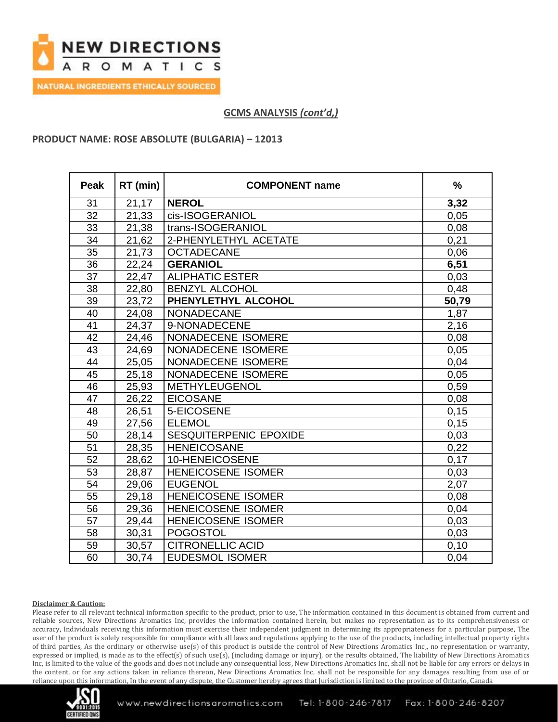

### **PRODUCT NAME: ROSE ABSOLUTE (BULGARIA) – 12013**

| <b>Peak</b>     | RT (min) | <b>COMPONENT name</b>     | $\frac{1}{2}$ |
|-----------------|----------|---------------------------|---------------|
| 31              | 21,17    | <b>NEROL</b>              | 3,32          |
| 32              | 21,33    | cis-ISOGERANIOL           | 0,05          |
| 33              | 21,38    | trans-ISOGERANIOL         | 0,08          |
| 34              | 21,62    | 2-PHENYLETHYL ACETATE     | 0,21          |
| 35              | 21,73    | <b>OCTADECANE</b>         | 0,06          |
| 36              | 22,24    | <b>GERANIOL</b>           | 6,51          |
| 37              | 22,47    | <b>ALIPHATIC ESTER</b>    | 0,03          |
| $\overline{38}$ | 22,80    | <b>BENZYL ALCOHOL</b>     | 0,48          |
| 39              | 23,72    | PHENYLETHYL ALCOHOL       | 50,79         |
| 40              | 24,08    | NONADECANE                | 1,87          |
| 41              | 24,37    | 9-NONADECENE              | 2,16          |
| 42              | 24,46    | NONADECENE ISOMERE        | 0,08          |
| 43              | 24,69    | NONADECENE ISOMERE        | 0,05          |
| 44              | 25,05    | NONADECENE ISOMERE        | 0,04          |
| 45              | 25,18    | NONADECENE ISOMERE        | 0,05          |
| 46              | 25,93    | METHYLEUGENOL             | 0,59          |
| 47              | 26,22    | <b>EICOSANE</b>           | 0,08          |
| 48              | 26,51    | 5-EICOSENE                | 0,15          |
| 49              | 27,56    | <b>ELEMOL</b>             | 0,15          |
| 50              | 28,14    | SESQUITERPENIC EPOXIDE    | 0,03          |
| 51              | 28,35    | <b>HENEICOSANE</b>        | 0,22          |
| 52              | 28,62    | 10-HENEICOSENE            | 0,17          |
| 53              | 28,87    | <b>HENEICOSENE ISOMER</b> | 0,03          |
| 54              | 29,06    | <b>EUGENOL</b>            | 2,07          |
| 55              | 29,18    | <b>HENEICOSENE ISOMER</b> | 0,08          |
| 56              | 29,36    | <b>HENEICOSENE ISOMER</b> | 0,04          |
| 57              | 29,44    | <b>HENEICOSENE ISOMER</b> | 0,03          |
| 58              | 30,31    | <b>POGOSTOL</b>           | 0,03          |
| 59              | 30,57    | <b>CITRONELLIC ACID</b>   | 0,10          |
| 60              | 30,74    | <b>EUDESMOL ISOMER</b>    | 0,04          |

#### **Disclaimer & Caution:**

Please refer to all relevant technical information specific to the product, prior to use, The information contained in this document is obtained from current and reliable sources, New Directions Aromatics Inc, provides the information contained herein, but makes no representation as to its comprehensiveness or accuracy, Individuals receiving this information must exercise their independent judgment in determining its appropriateness for a particular purpose, The user of the product is solely responsible for compliance with all laws and regulations applying to the use of the products, including intellectual property rights of third parties, As the ordinary or otherwise use(s) of this product is outside the control of New Directions Aromatics Inc,, no representation or warranty, expressed or implied, is made as to the effect(s) of such use(s), (including damage or injury), or the results obtained, The liability of New Directions Aromatics Inc, is limited to the value of the goods and does not include any consequential loss, New Directions Aromatics Inc, shall not be liable for any errors or delays in the content, or for any actions taken in reliance thereon, New Directions Aromatics Inc, shall not be responsible for any damages resulting from use of or reliance upon this information, In the event of any dispute, the Customer hereby agrees that Jurisdiction is limited to the province of Ontario, Canada

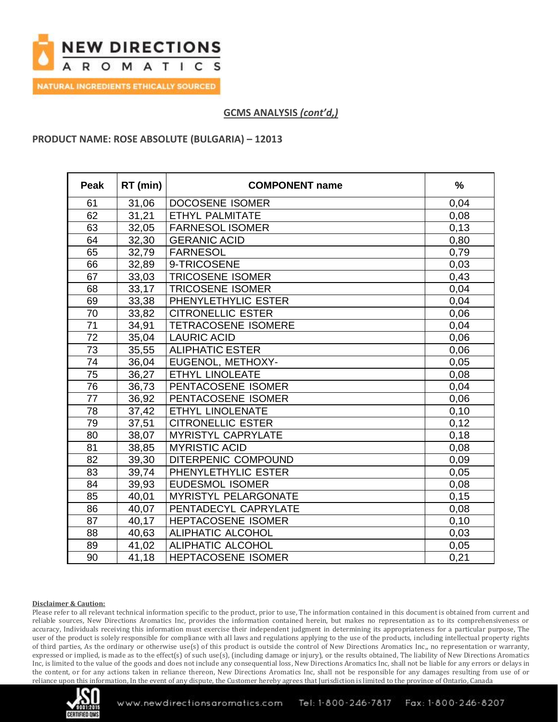

### **PRODUCT NAME: ROSE ABSOLUTE (BULGARIA) – 12013**

| <b>Peak</b>     | RT (min) | <b>COMPONENT name</b>     | $\frac{9}{6}$ |
|-----------------|----------|---------------------------|---------------|
| 61              | 31,06    | <b>DOCOSENE ISOMER</b>    | 0,04          |
| 62              | 31,21    | <b>ETHYL PALMITATE</b>    | 0,08          |
| 63              | 32,05    | <b>FARNESOL ISOMER</b>    | 0,13          |
| 64              | 32,30    | <b>GERANIC ACID</b>       | 0,80          |
| 65              | 32,79    | <b>FARNESOL</b>           | 0,79          |
| 66              | 32,89    | 9-TRICOSENE               | 0,03          |
| 67              | 33,03    | <b>TRICOSENE ISOMER</b>   | 0,43          |
| 68              | 33,17    | <b>TRICOSENE ISOMER</b>   | 0,04          |
| 69              | 33,38    | PHENYLETHYLIC ESTER       | 0,04          |
| 70              | 33,82    | <b>CITRONELLIC ESTER</b>  | 0,06          |
| $\overline{71}$ | 34,91    | TETRACOSENE ISOMERE       | 0,04          |
| 72              | 35,04    | <b>LAURIC ACID</b>        | 0,06          |
| 73              | 35,55    | <b>ALIPHATIC ESTER</b>    | 0,06          |
| 74              | 36,04    | EUGENOL, METHOXY-         | 0,05          |
| 75              | 36,27    | <b>ETHYL LINOLEATE</b>    | 0,08          |
| 76              | 36,73    | PENTACOSENE ISOMER        | 0,04          |
| 77              | 36,92    | PENTACOSENE ISOMER        | 0,06          |
| 78              | 37,42    | ETHYL LINOLENATE          | 0,10          |
| 79              | 37,51    | <b>CITRONELLIC ESTER</b>  | 0,12          |
| 80              | 38,07    | <b>MYRISTYL CAPRYLATE</b> | 0,18          |
| 81              | 38,85    | <b>MYRISTIC ACID</b>      | 0,08          |
| 82              | 39,30    | DITERPENIC COMPOUND       | 0,09          |
| 83              | 39,74    | PHENYLETHYLIC ESTER       | 0,05          |
| 84              | 39,93    | <b>EUDESMOL ISOMER</b>    | 0,08          |
| 85              | 40,01    | MYRISTYL PELARGONATE      | 0,15          |
| 86              | 40,07    | PENTADECYL CAPRYLATE      | 0,08          |
| 87              | 40,17    | HEPTACOSENE ISOMER        | 0,10          |
| 88              | 40,63    | ALIPHATIC ALCOHOL         | 0,03          |
| 89              | 41,02    | ALIPHATIC ALCOHOL         | 0,05          |
| 90              | 41,18    | <b>HEPTACOSENE ISOMER</b> | 0,21          |

#### **Disclaimer & Caution:**

Please refer to all relevant technical information specific to the product, prior to use, The information contained in this document is obtained from current and reliable sources, New Directions Aromatics Inc, provides the information contained herein, but makes no representation as to its comprehensiveness or accuracy, Individuals receiving this information must exercise their independent judgment in determining its appropriateness for a particular purpose, The user of the product is solely responsible for compliance with all laws and regulations applying to the use of the products, including intellectual property rights of third parties, As the ordinary or otherwise use(s) of this product is outside the control of New Directions Aromatics Inc,, no representation or warranty, expressed or implied, is made as to the effect(s) of such use(s), (including damage or injury), or the results obtained, The liability of New Directions Aromatics Inc, is limited to the value of the goods and does not include any consequential loss, New Directions Aromatics Inc, shall not be liable for any errors or delays in the content, or for any actions taken in reliance thereon, New Directions Aromatics Inc, shall not be responsible for any damages resulting from use of or reliance upon this information, In the event of any dispute, the Customer hereby agrees that Jurisdiction is limited to the province of Ontario, Canada

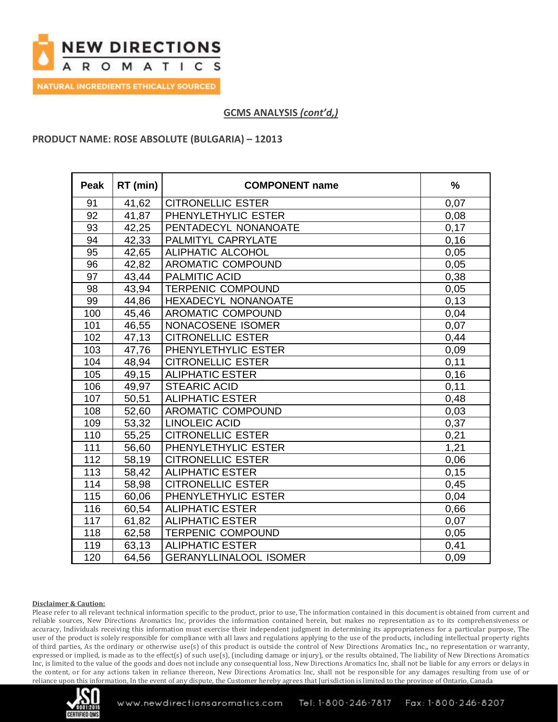

### **PRODUCT NAME: ROSE ABSOLUTE (BULGARIA) – 12013**

| <b>Peak</b> | RT (min) | <b>COMPONENT name</b>         | $\frac{9}{6}$ |
|-------------|----------|-------------------------------|---------------|
| 91          | 41,62    | <b>CITRONELLIC ESTER</b>      | 0,07          |
| 92          | 41,87    | PHENYLETHYLIC ESTER           | 0,08          |
| 93          | 42,25    | PENTADECYL NONANOATE          | 0,17          |
| 94          | 42,33    | PALMITYL CAPRYLATE            | 0, 16         |
| 95          | 42,65    | ALIPHATIC ALCOHOL             | 0,05          |
| 96          | 42,82    | AROMATIC COMPOUND             | 0,05          |
| 97          | 43,44    | <b>PALMITIC ACID</b>          | 0,38          |
| 98          | 43,94    | <b>TERPENIC COMPOUND</b>      | 0,05          |
| 99          | 44,86    | HEXADECYL NONANOATE           | 0,13          |
| 100         | 45,46    | <b>AROMATIC COMPOUND</b>      | 0,04          |
| 101         | 46,55    | NONACOSENE ISOMER             | 0,07          |
| 102         | 47,13    | <b>CITRONELLIC ESTER</b>      | 0,44          |
| 103         | 47,76    | PHENYLETHYLIC ESTER           | 0,09          |
| 104         | 48,94    | <b>CITRONELLIC ESTER</b>      | 0,11          |
| 105         | 49,15    | <b>ALIPHATIC ESTER</b>        | 0, 16         |
| 106         | 49,97    | <b>STEARIC ACID</b>           | 0,11          |
| 107         | 50,51    | <b>ALIPHATIC ESTER</b>        | 0,48          |
| 108         | 52,60    | AROMATIC COMPOUND             | 0,03          |
| 109         | 53,32    | <b>LINOLEIC ACID</b>          | 0,37          |
| 110         | 55,25    | <b>CITRONELLIC ESTER</b>      | 0,21          |
| 111         | 56,60    | PHENYLETHYLIC ESTER           | 1,21          |
| 112         | 58,19    | <b>CITRONELLIC ESTER</b>      | 0,06          |
| 113         | 58,42    | <b>ALIPHATIC ESTER</b>        | 0, 15         |
| 114         | 58,98    | <b>CITRONELLIC ESTER</b>      | 0,45          |
| 115         | 60,06    | PHENYLETHYLIC ESTER           | 0,04          |
| 116         | 60,54    | <b>ALIPHATIC ESTER</b>        | 0,66          |
| 117         | 61,82    | <b>ALIPHATIC ESTER</b>        | 0,07          |
| 118         | 62,58    | <b>TERPENIC COMPOUND</b>      | 0,05          |
| 119         | 63,13    | <b>ALIPHATIC ESTER</b>        | 0,41          |
| 120         | 64,56    | <b>GERANYLLINALOOL ISOMER</b> | 0,09          |

#### **Disclaimer & Caution:**

Please refer to all relevant technical information specific to the product, prior to use, The information contained in this document is obtained from current and reliable sources, New Directions Aromatics Inc, provides the information contained herein, but makes no representation as to its comprehensiveness or accuracy, Individuals receiving this information must exercise their independent judgment in determining its appropriateness for a particular purpose, The user of the product is solely responsible for compliance with all laws and regulations applying to the use of the products, including intellectual property rights of third parties, As the ordinary or otherwise use(s) of this product is outside the control of New Directions Aromatics Inc,, no representation or warranty, expressed or implied, is made as to the effect(s) of such use(s), (including damage or injury), or the results obtained, The liability of New Directions Aromatics Inc, is limited to the value of the goods and does not include any consequential loss, New Directions Aromatics Inc, shall not be liable for any errors or delays in the content, or for any actions taken in reliance thereon, New Directions Aromatics Inc, shall not be responsible for any damages resulting from use of or reliance upon this information, In the event of any dispute, the Customer hereby agrees that Jurisdiction is limited to the province of Ontario, Canada